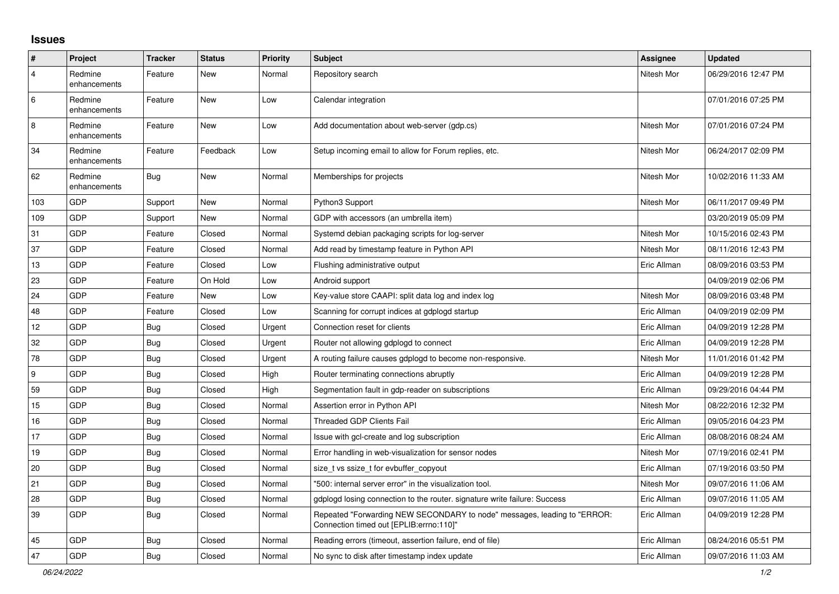## **Issues**

| ∦   | Project                 | <b>Tracker</b> | <b>Status</b> | <b>Priority</b> | <b>Subject</b>                                                                                                      | Assignee    | <b>Updated</b>      |
|-----|-------------------------|----------------|---------------|-----------------|---------------------------------------------------------------------------------------------------------------------|-------------|---------------------|
| 4   | Redmine<br>enhancements | Feature        | New           | Normal          | Repository search                                                                                                   | Nitesh Mor  | 06/29/2016 12:47 PM |
| 6   | Redmine<br>enhancements | Feature        | New           | Low             | Calendar integration                                                                                                |             | 07/01/2016 07:25 PM |
| 8   | Redmine<br>enhancements | Feature        | <b>New</b>    | Low             | Add documentation about web-server (gdp.cs)                                                                         | Nitesh Mor  | 07/01/2016 07:24 PM |
| 34  | Redmine<br>enhancements | Feature        | Feedback      | Low             | Setup incoming email to allow for Forum replies, etc.                                                               | Nitesh Mor  | 06/24/2017 02:09 PM |
| 62  | Redmine<br>enhancements | <b>Bug</b>     | <b>New</b>    | Normal          | Memberships for projects                                                                                            | Nitesh Mor  | 10/02/2016 11:33 AM |
| 103 | GDP                     | Support        | New           | Normal          | Python3 Support                                                                                                     | Nitesh Mor  | 06/11/2017 09:49 PM |
| 109 | GDP                     | Support        | New           | Normal          | GDP with accessors (an umbrella item)                                                                               |             | 03/20/2019 05:09 PM |
| 31  | GDP                     | Feature        | Closed        | Normal          | Systemd debian packaging scripts for log-server                                                                     | Nitesh Mor  | 10/15/2016 02:43 PM |
| 37  | GDP                     | Feature        | Closed        | Normal          | Add read by timestamp feature in Python API                                                                         | Nitesh Mor  | 08/11/2016 12:43 PM |
| 13  | GDP                     | Feature        | Closed        | Low             | Flushing administrative output                                                                                      | Eric Allman | 08/09/2016 03:53 PM |
| 23  | GDP                     | Feature        | On Hold       | Low             | Android support                                                                                                     |             | 04/09/2019 02:06 PM |
| 24  | GDP                     | Feature        | New           | Low             | Key-value store CAAPI: split data log and index log                                                                 | Nitesh Mor  | 08/09/2016 03:48 PM |
| 48  | GDP                     | Feature        | Closed        | Low             | Scanning for corrupt indices at gdplogd startup                                                                     | Eric Allman | 04/09/2019 02:09 PM |
| 12  | GDP                     | <b>Bug</b>     | Closed        | Urgent          | Connection reset for clients                                                                                        | Eric Allman | 04/09/2019 12:28 PM |
| 32  | GDP                     | Bug            | Closed        | Urgent          | Router not allowing gdplogd to connect                                                                              | Eric Allman | 04/09/2019 12:28 PM |
| 78  | GDP                     | Bug            | Closed        | Urgent          | A routing failure causes gdplogd to become non-responsive.                                                          | Nitesh Mor  | 11/01/2016 01:42 PM |
| 9   | GDP                     | <b>Bug</b>     | Closed        | High            | Router terminating connections abruptly                                                                             | Eric Allman | 04/09/2019 12:28 PM |
| 59  | GDP                     | Bug            | Closed        | High            | Segmentation fault in gdp-reader on subscriptions                                                                   | Eric Allman | 09/29/2016 04:44 PM |
| 15  | GDP                     | Bug            | Closed        | Normal          | Assertion error in Python API                                                                                       | Nitesh Mor  | 08/22/2016 12:32 PM |
| 16  | GDP                     | Bug            | Closed        | Normal          | <b>Threaded GDP Clients Fail</b>                                                                                    | Eric Allman | 09/05/2016 04:23 PM |
| 17  | GDP                     | <b>Bug</b>     | Closed        | Normal          | Issue with gcl-create and log subscription                                                                          | Eric Allman | 08/08/2016 08:24 AM |
| 19  | GDP                     | Bug            | Closed        | Normal          | Error handling in web-visualization for sensor nodes                                                                | Nitesh Mor  | 07/19/2016 02:41 PM |
| 20  | GDP                     | Bug            | Closed        | Normal          | size t vs ssize t for evbuffer copyout                                                                              | Eric Allman | 07/19/2016 03:50 PM |
| 21  | GDP                     | <b>Bug</b>     | Closed        | Normal          | '500: internal server error" in the visualization tool.                                                             | Nitesh Mor  | 09/07/2016 11:06 AM |
| 28  | GDP                     | Bug            | Closed        | Normal          | gdplogd losing connection to the router, signature write failure: Success                                           | Eric Allman | 09/07/2016 11:05 AM |
| 39  | GDP                     | Bug            | Closed        | Normal          | Repeated "Forwarding NEW SECONDARY to node" messages, leading to "ERROR:<br>Connection timed out [EPLIB:errno:110]" | Eric Allman | 04/09/2019 12:28 PM |
| 45  | GDP                     | Bug            | Closed        | Normal          | Reading errors (timeout, assertion failure, end of file)                                                            | Eric Allman | 08/24/2016 05:51 PM |
| 47  | GDP                     | Bug            | Closed        | Normal          | No sync to disk after timestamp index update                                                                        | Eric Allman | 09/07/2016 11:03 AM |